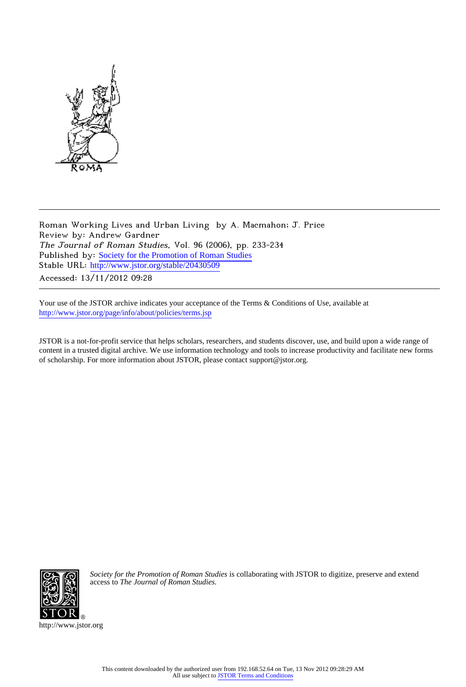

Roman Working Lives and Urban Living by A. Macmahon; J. Price Review by: Andrew Gardner The Journal of Roman Studies, Vol. 96 (2006), pp. 233-234 Published by: [Society for the Promotion of Roman Studies](http://www.jstor.org/action/showPublisher?publisherCode=sprs) Stable URL: http://www.jstor.org/stable/20430509

Accessed: 13/11/2012 09:28

Your use of the JSTOR archive indicates your acceptance of the Terms & Conditions of Use, available at <http://www.jstor.org/page/info/about/policies/terms.jsp>

JSTOR is a not-for-profit service that helps scholars, researchers, and students discover, use, and build upon a wide range of content in a trusted digital archive. We use information technology and tools to increase productivity and facilitate new forms of scholarship. For more information about JSTOR, please contact support@jstor.org.



*Society for the Promotion of Roman Studies* is collaborating with JSTOR to digitize, preserve and extend access to *The Journal of Roman Studies.*

http://www.jstor.org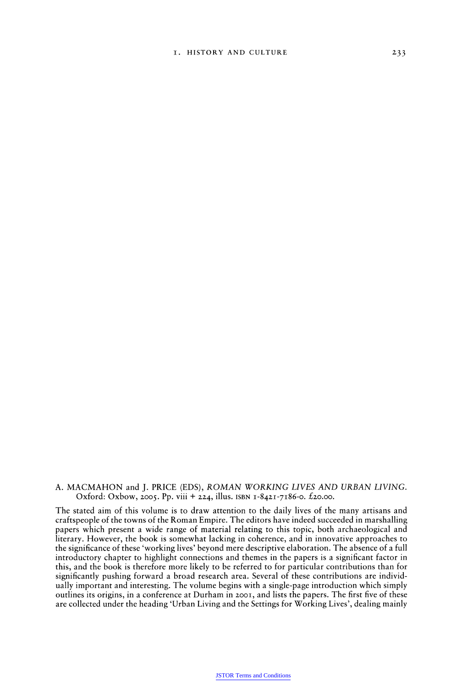## **A. MACMAHON and J. PRICE (EDS), ROMAN WORKING LIVES AND URBAN LIVING.**  Oxford: Oxbow, 2005. Pp. viii + 224, illus. ISBN 1-8421-7186-0. £20.00.

**The stated aim of this volume is to draw attention to the daily lives of the many artisans and craftspeople of the towns of the Roman Empire. The editors have indeed succeeded in marshalling papers which present a wide range of material relating to this topic, both archaeological and literary. However, the book is somewhat lacking in coherence, and in innovative approaches to the significance of these 'working lives' beyond mere descriptive elaboration. The absence of a full introductory chapter to highlight connections and themes in the papers is a significant factor in this, and the book is therefore more likely to be referred to for particular contributions than for significantly pushing forward a broad research area. Several of these contributions are individ ually important and interesting. The volume begins with a single-page introduction which simply outlines its origins, in a conference at Durham in zooi, and lists the papers. The first five of these are collected under the heading 'Urban Living and the Settings for Working Lives', dealing mainly**